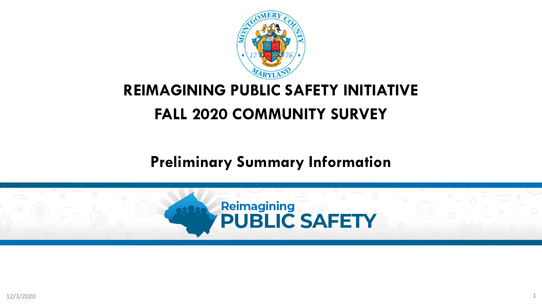

# **REIMAGINING PUBLIC SAFETY INITIATIVE FALL 2020 COMMUNITY SURVEY**

# **Preliminary Summary Information**

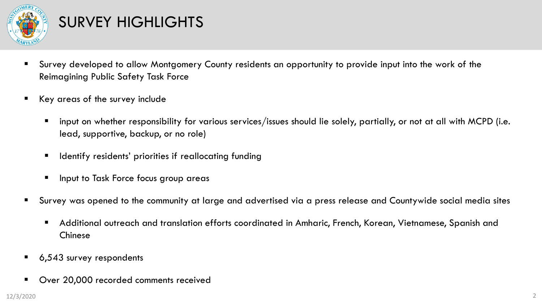

# SURVEY HIGHLIGHTS

- Survey developed to allow Montgomery County residents an opportunity to provide input into the work of the Reimagining Public Safety Task Force
- Key areas of the survey include
	- input on whether responsibility for various services/issues should lie solely, partially, or not at all with MCPD (i.e. lead, supportive, backup, or no role)
	- Identify residents' priorities if reallocating funding
	- Input to Task Force focus group areas
- Survey was opened to the community at large and advertised via a press release and Countywide social media sites
	- Additional outreach and translation efforts coordinated in Amharic, French, Korean, Vietnamese, Spanish and Chinese
- 6,543 survey respondents
- Over 20,000 recorded comments received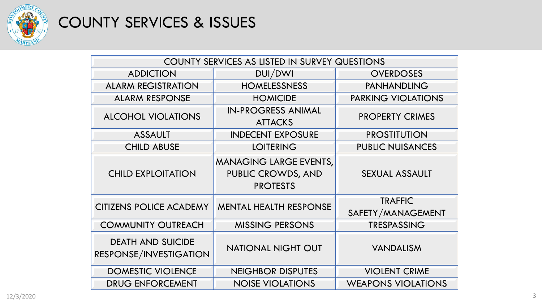

# COUNTY SERVICES & ISSUES

| COUNTY SERVICES AS LISTED IN SURVEY QUESTIONS      |                                                                        |                                     |
|----------------------------------------------------|------------------------------------------------------------------------|-------------------------------------|
| <b>ADDICTION</b>                                   | DUI/DWI                                                                | <b>OVERDOSES</b>                    |
| <b>ALARM REGISTRATION</b>                          | <b>HOMELESSNESS</b>                                                    | <b>PANHANDLING</b>                  |
| <b>ALARM RESPONSE</b>                              | <b>HOMICIDE</b>                                                        | <b>PARKING VIOLATIONS</b>           |
| <b>ALCOHOL VIOLATIONS</b>                          | <b>IN-PROGRESS ANIMAL</b><br><b>ATTACKS</b>                            | <b>PROPERTY CRIMES</b>              |
| <b>ASSAULT</b>                                     | <b>INDECENT EXPOSURE</b>                                               | <b>PROSTITUTION</b>                 |
| <b>CHILD ABUSE</b>                                 | <b>LOITERING</b>                                                       | <b>PUBLIC NUISANCES</b>             |
| <b>CHILD EXPLOITATION</b>                          | <b>MANAGING LARGE EVENTS,</b><br>PUBLIC CROWDS, AND<br><b>PROTESTS</b> | <b>SEXUAL ASSAULT</b>               |
| <b>CITIZENS POLICE ACADEMY</b>                     | <b>MENTAL HEALTH RESPONSE</b>                                          | <b>TRAFFIC</b><br>SAFETY/MANAGEMENT |
| <b>COMMUNITY OUTREACH</b>                          | <b>MISSING PERSONS</b>                                                 | <b>TRESPASSING</b>                  |
| <b>DEATH AND SUICIDE</b><br>RESPONSE/INVESTIGATION | <b>NATIONAL NIGHT OUT</b>                                              | <b>VANDALISM</b>                    |
| <b>DOMESTIC VIOLENCE</b>                           | <b>NEIGHBOR DISPUTES</b>                                               | <b>VIOLENT CRIME</b>                |
| <b>DRUG ENFORCEMENT</b>                            | <b>NOISE VIOLATIONS</b>                                                | <b>WEAPONS VIOLATIONS</b>           |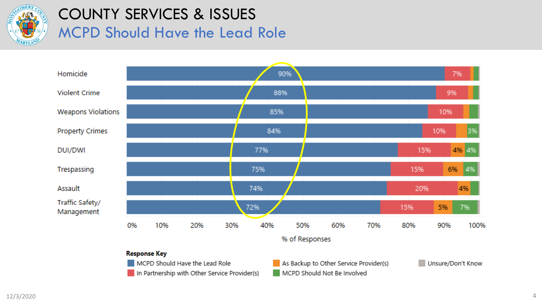

### COUNTY SERVICES & ISSUES MCPD Should Have the Lead Role



#### **Response Key**

MCPD Should Have the Lead Role

In Partnership with Other Service Provider(s)

As Backup to Other Service Provider(s) MCPD Should Not Be Involved

Unsure/Don't Know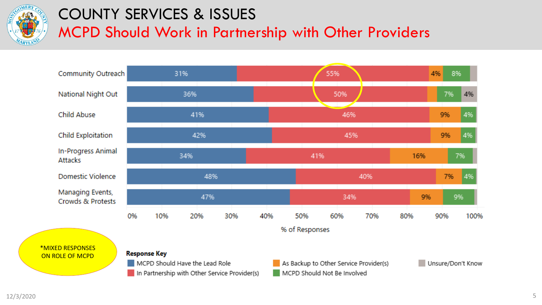

# COUNTY SERVICES & ISSUES

MCPD Should Work in Partnership with Other Providers



\*MIXED RESPONSES ON ROLE OF MCPD

#### **Response Key**

- MCPD Should Have the Lead Role
- In Partnership with Other Service Provider(s)

As Backup to Other Service Provider(s) MCPD Should Not Be Involved

Unsure/Don't Know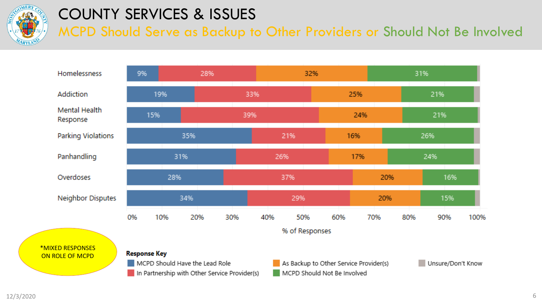

### COUNTY SERVICES & ISSUES

MCPD Should Serve as Backup to Other Providers or Should Not Be Involved



#### \*MIXED RESPONSES ON ROLE OF MCPD

**Response Key** 

- MCPD Should Have the Lead Role
- In Partnership with Other Service Provider(s)

As Backup to Other Service Provider(s) MCPD Should Not Be Involved

Unsure/Don't Know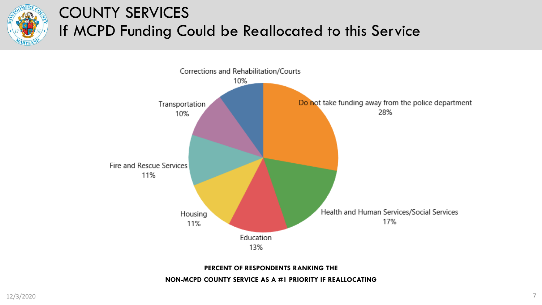

# COUNTY SERVICES If MCPD Funding Could be Reallocated to this Service



**PERCENT OF RESPONDENTS RANKING THE** 

**NON-MCPD COUNTY SERVICE AS A #1 PRIORITY IF REALLOCATING**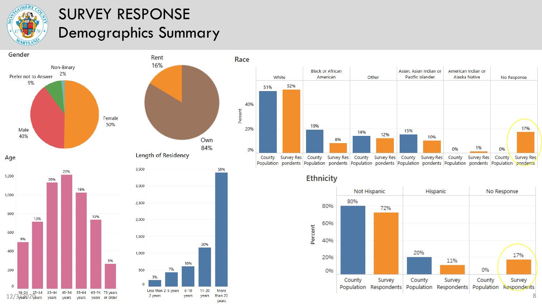

9%

400

200

 $\Omega$ 

# SURVEY RESPONSE Demographics Summary



5%





**Ethnicity**